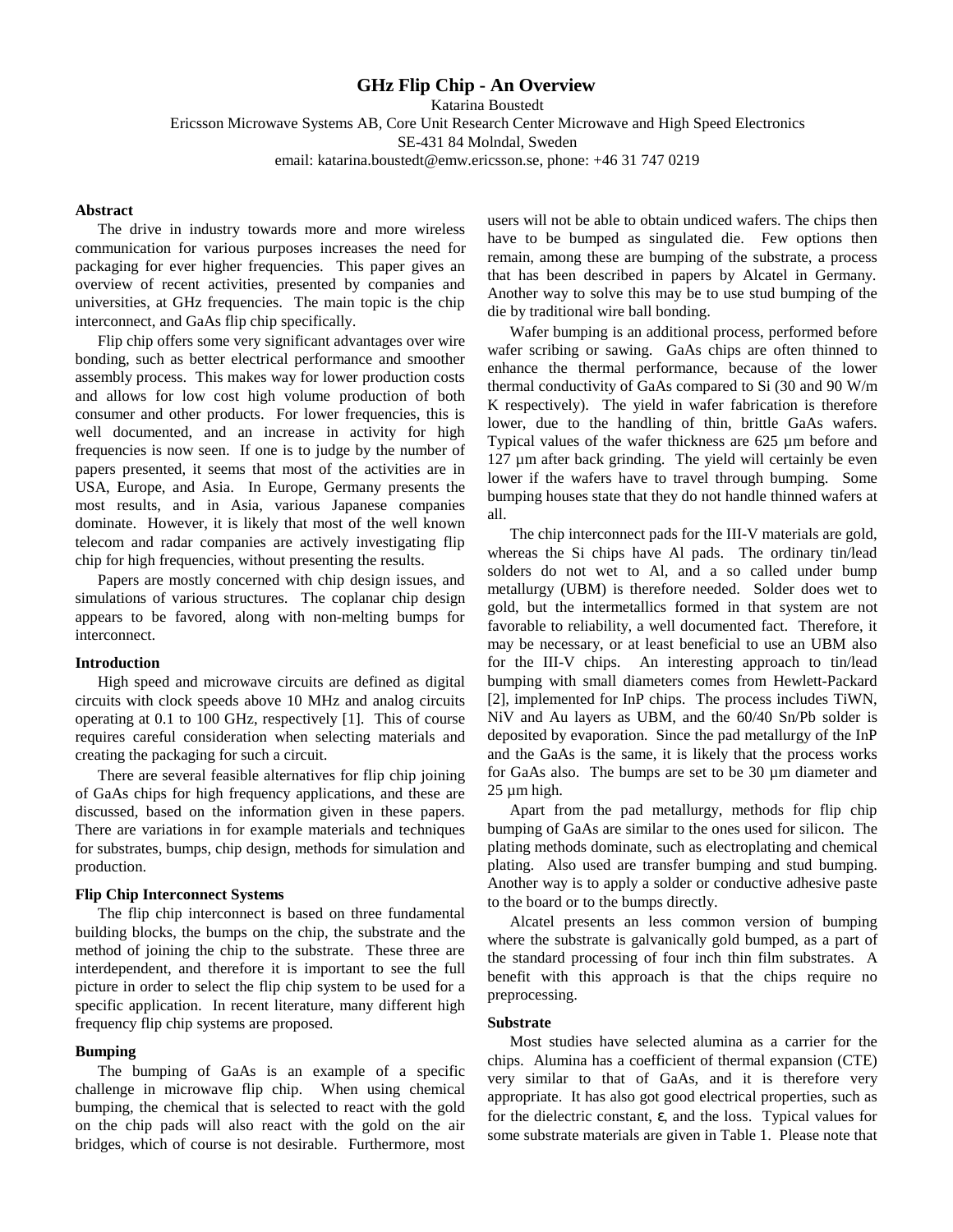# **GHz Flip Chip - An Overview**

Katarina Boustedt Ericsson Microwave Systems AB, Core Unit Research Center Microwave and High Speed Electronics SE-431 84 Molndal, Sweden email: katarina.boustedt@emw.ericsson.se, phone: +46 31 747 0219

## **Abstract**

The drive in industry towards more and more wireless communication for various purposes increases the need for packaging for ever higher frequencies. This paper gives an overview of recent activities, presented by companies and universities, at GHz frequencies. The main topic is the chip interconnect, and GaAs flip chip specifically.

Flip chip offers some very significant advantages over wire bonding, such as better electrical performance and smoother assembly process. This makes way for lower production costs and allows for low cost high volume production of both consumer and other products. For lower frequencies, this is well documented, and an increase in activity for high frequencies is now seen. If one is to judge by the number of papers presented, it seems that most of the activities are in USA, Europe, and Asia. In Europe, Germany presents the most results, and in Asia, various Japanese companies dominate. However, it is likely that most of the well known telecom and radar companies are actively investigating flip chip for high frequencies, without presenting the results.

Papers are mostly concerned with chip design issues, and simulations of various structures. The coplanar chip design appears to be favored, along with non-melting bumps for interconnect.

#### **Introduction**

High speed and microwave circuits are defined as digital circuits with clock speeds above 10 MHz and analog circuits operating at 0.1 to 100 GHz, respectively [1]. This of course requires careful consideration when selecting materials and creating the packaging for such a circuit.

There are several feasible alternatives for flip chip joining of GaAs chips for high frequency applications, and these are discussed, based on the information given in these papers. There are variations in for example materials and techniques for substrates, bumps, chip design, methods for simulation and production.

#### **Flip Chip Interconnect Systems**

The flip chip interconnect is based on three fundamental building blocks, the bumps on the chip, the substrate and the method of joining the chip to the substrate. These three are interdependent, and therefore it is important to see the full picture in order to select the flip chip system to be used for a specific application. In recent literature, many different high frequency flip chip systems are proposed.

## **Bumping**

The bumping of GaAs is an example of a specific challenge in microwave flip chip. When using chemical bumping, the chemical that is selected to react with the gold on the chip pads will also react with the gold on the air bridges, which of course is not desirable. Furthermore, most

users will not be able to obtain undiced wafers. The chips then have to be bumped as singulated die. Few options then remain, among these are bumping of the substrate, a process that has been described in papers by Alcatel in Germany. Another way to solve this may be to use stud bumping of the die by traditional wire ball bonding.

Wafer bumping is an additional process, performed before wafer scribing or sawing. GaAs chips are often thinned to enhance the thermal performance, because of the lower thermal conductivity of GaAs compared to Si (30 and 90 W/m K respectively). The yield in wafer fabrication is therefore lower, due to the handling of thin, brittle GaAs wafers. Typical values of the wafer thickness are 625 µm before and 127 µm after back grinding. The yield will certainly be even lower if the wafers have to travel through bumping. Some bumping houses state that they do not handle thinned wafers at all.

The chip interconnect pads for the III-V materials are gold, whereas the Si chips have Al pads. The ordinary tin/lead solders do not wet to Al, and a so called under bump metallurgy (UBM) is therefore needed. Solder does wet to gold, but the intermetallics formed in that system are not favorable to reliability, a well documented fact. Therefore, it may be necessary, or at least beneficial to use an UBM also for the III-V chips. An interesting approach to tin/lead bumping with small diameters comes from Hewlett-Packard [2], implemented for InP chips. The process includes TiWN, NiV and Au layers as UBM, and the 60/40 Sn/Pb solder is deposited by evaporation. Since the pad metallurgy of the InP and the GaAs is the same, it is likely that the process works for GaAs also. The bumps are set to be 30 µm diameter and 25 µm high.

Apart from the pad metallurgy, methods for flip chip bumping of GaAs are similar to the ones used for silicon. The plating methods dominate, such as electroplating and chemical plating. Also used are transfer bumping and stud bumping. Another way is to apply a solder or conductive adhesive paste to the board or to the bumps directly.

Alcatel presents an less common version of bumping where the substrate is galvanically gold bumped, as a part of the standard processing of four inch thin film substrates. A benefit with this approach is that the chips require no preprocessing.

#### **Substrate**

Most studies have selected alumina as a carrier for the chips. Alumina has a coefficient of thermal expansion (CTE) very similar to that of GaAs, and it is therefore very appropriate. It has also got good electrical properties, such as for the dielectric constant, ε, and the loss. Typical values for some substrate materials are given in Table 1. Please note that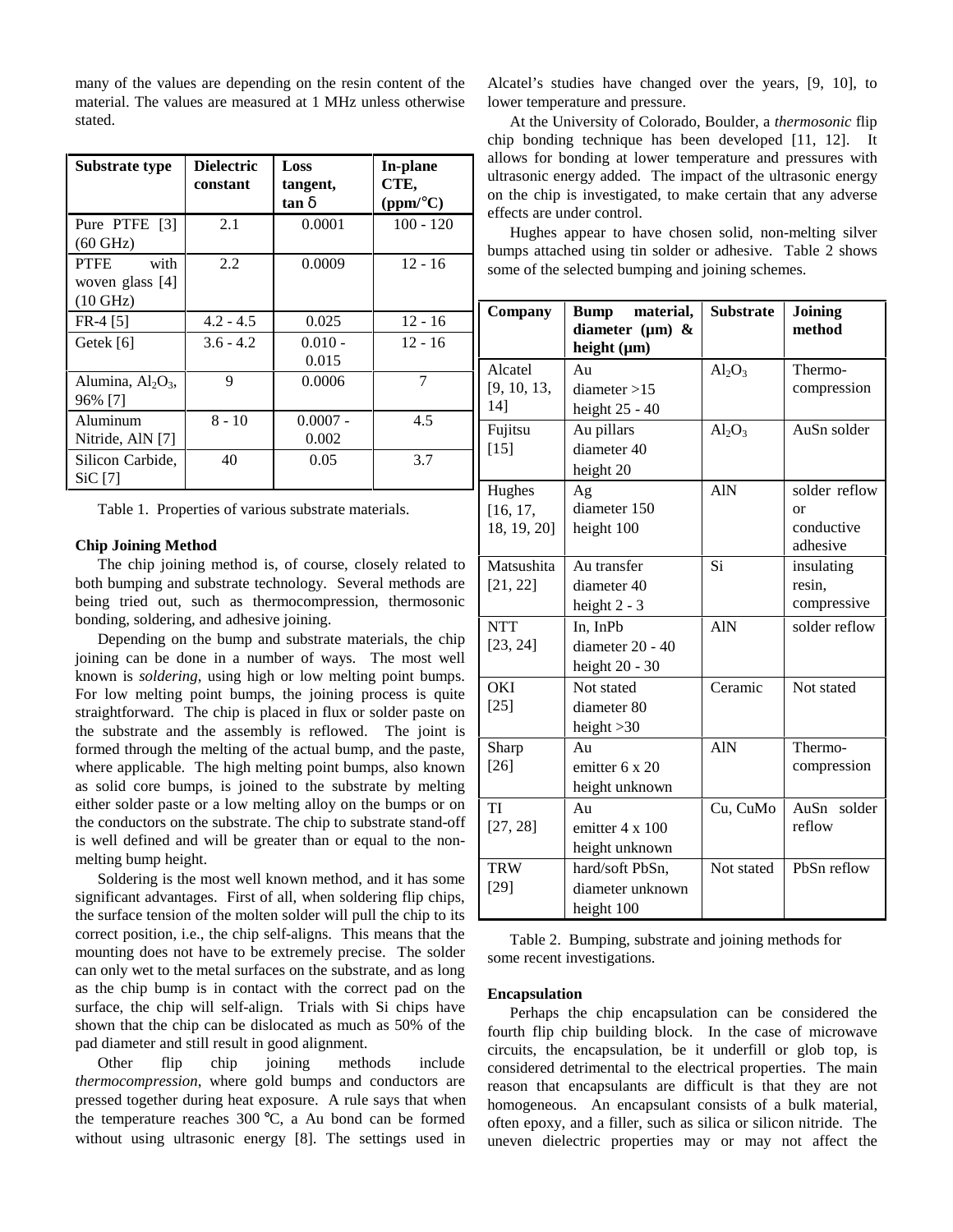many of the values are depending on the resin content of the material. The values are measured at 1 MHz unless otherwise stated.

| Substrate type                                                 | <b>Dielectric</b><br>constant | Loss<br>tangent,<br>tan δ | In-plane<br>CTE,<br>(ppm/°C) |
|----------------------------------------------------------------|-------------------------------|---------------------------|------------------------------|
| Pure PTFE [3]<br>$(60 \text{ GHz})$                            | 2.1                           | 0.0001                    | $100 - 120$                  |
| <b>PTFE</b><br>with<br>woven glass $[4]$<br>$(10 \text{ GHz})$ | 2.2                           | 0.0009                    | $12 - 16$                    |
| $FR-4$ [5]                                                     | $4.2 - 4.5$                   | 0.025                     | $12 - 16$                    |
| Getek [6]                                                      | $3.6 - 4.2$                   | $0.010 -$<br>0.015        | $12 - 16$                    |
| Alumina, $Al_2O_3$ ,<br>96% [7]                                | 9                             | 0.0006                    | $\overline{7}$               |
| Aluminum<br>Nitride, AlN [7]                                   | $8 - 10$                      | $0.0007 -$<br>0.002       | 4.5                          |
| Silicon Carbide,<br>SiC[7]                                     | 40                            | 0.05                      | 3.7                          |

Table 1. Properties of various substrate materials.

### **Chip Joining Method**

The chip joining method is, of course, closely related to both bumping and substrate technology. Several methods are being tried out, such as thermocompression, thermosonic bonding, soldering, and adhesive joining.

Depending on the bump and substrate materials, the chip joining can be done in a number of ways. The most well known is *soldering*, using high or low melting point bumps. For low melting point bumps, the joining process is quite straightforward. The chip is placed in flux or solder paste on the substrate and the assembly is reflowed. The joint is formed through the melting of the actual bump, and the paste, where applicable. The high melting point bumps, also known as solid core bumps, is joined to the substrate by melting either solder paste or a low melting alloy on the bumps or on the conductors on the substrate. The chip to substrate stand-off is well defined and will be greater than or equal to the nonmelting bump height.

Soldering is the most well known method, and it has some significant advantages. First of all, when soldering flip chips, the surface tension of the molten solder will pull the chip to its correct position, i.e., the chip self-aligns. This means that the mounting does not have to be extremely precise. The solder can only wet to the metal surfaces on the substrate, and as long as the chip bump is in contact with the correct pad on the surface, the chip will self-align. Trials with Si chips have shown that the chip can be dislocated as much as 50% of the pad diameter and still result in good alignment.

Other flip chip joining methods include *thermocompression*, where gold bumps and conductors are pressed together during heat exposure. A rule says that when the temperature reaches 300 °C, a Au bond can be formed without using ultrasonic energy [8]. The settings used in Alcatel's studies have changed over the years, [9, 10], to lower temperature and pressure.

At the University of Colorado, Boulder, a *thermosonic* flip chip bonding technique has been developed [11, 12]. It allows for bonding at lower temperature and pressures with ultrasonic energy added. The impact of the ultrasonic energy on the chip is investigated, to make certain that any adverse effects are under control.

Hughes appear to have chosen solid, non-melting silver bumps attached using tin solder or adhesive. Table 2 shows some of the selected bumping and joining schemes.

| Company                           | Bump material,<br>diameter $(\mu m)$ &<br>height $(\mu m)$ | <b>Substrate</b> | Joining<br>method                             |
|-----------------------------------|------------------------------------------------------------|------------------|-----------------------------------------------|
| Alcatel<br>[9, 10, 13,<br>14]     | Au<br>diameter > 15<br>height $25 - 40$                    | $Al_2O_3$        | Thermo-<br>compression                        |
| Fujitsu<br>$[15]$                 | Au pillars<br>diameter 40<br>height 20                     | $Al_2O_3$        | AuSn solder                                   |
| Hughes<br>[16, 17,<br>18, 19, 20] | Ag<br>diameter 150<br>height 100                           | <b>AlN</b>       | solder reflow<br>or<br>conductive<br>adhesive |
| Matsushita<br>[21, 22]            | Au transfer<br>diameter 40<br>height $2 - 3$               | Si               | insulating<br>resin,<br>compressive           |
| <b>NTT</b><br>[23, 24]            | In, InPb<br>diameter 20 - 40<br>height 20 - 30             | <b>AlN</b>       | solder reflow                                 |
| <b>OKI</b><br>$[25]$              | Not stated<br>diameter 80<br>height $>30$                  | Ceramic          | Not stated                                    |
| Sharp<br>$[26]$                   | Au<br>emitter 6 x 20<br>height unknown                     | <b>AlN</b>       | Thermo-<br>compression                        |
| TI<br>[27, 28]                    | Au<br>emitter 4 x 100<br>height unknown                    | Cu, CuMo         | AuSn solder<br>reflow                         |
| <b>TRW</b><br>$[29]$              | hard/soft PbSn,<br>diameter unknown<br>height 100          | Not stated       | PbSn reflow                                   |

Table 2. Bumping, substrate and joining methods for some recent investigations.

## **Encapsulation**

Perhaps the chip encapsulation can be considered the fourth flip chip building block. In the case of microwave circuits, the encapsulation, be it underfill or glob top, is considered detrimental to the electrical properties. The main reason that encapsulants are difficult is that they are not homogeneous. An encapsulant consists of a bulk material, often epoxy, and a filler, such as silica or silicon nitride. The uneven dielectric properties may or may not affect the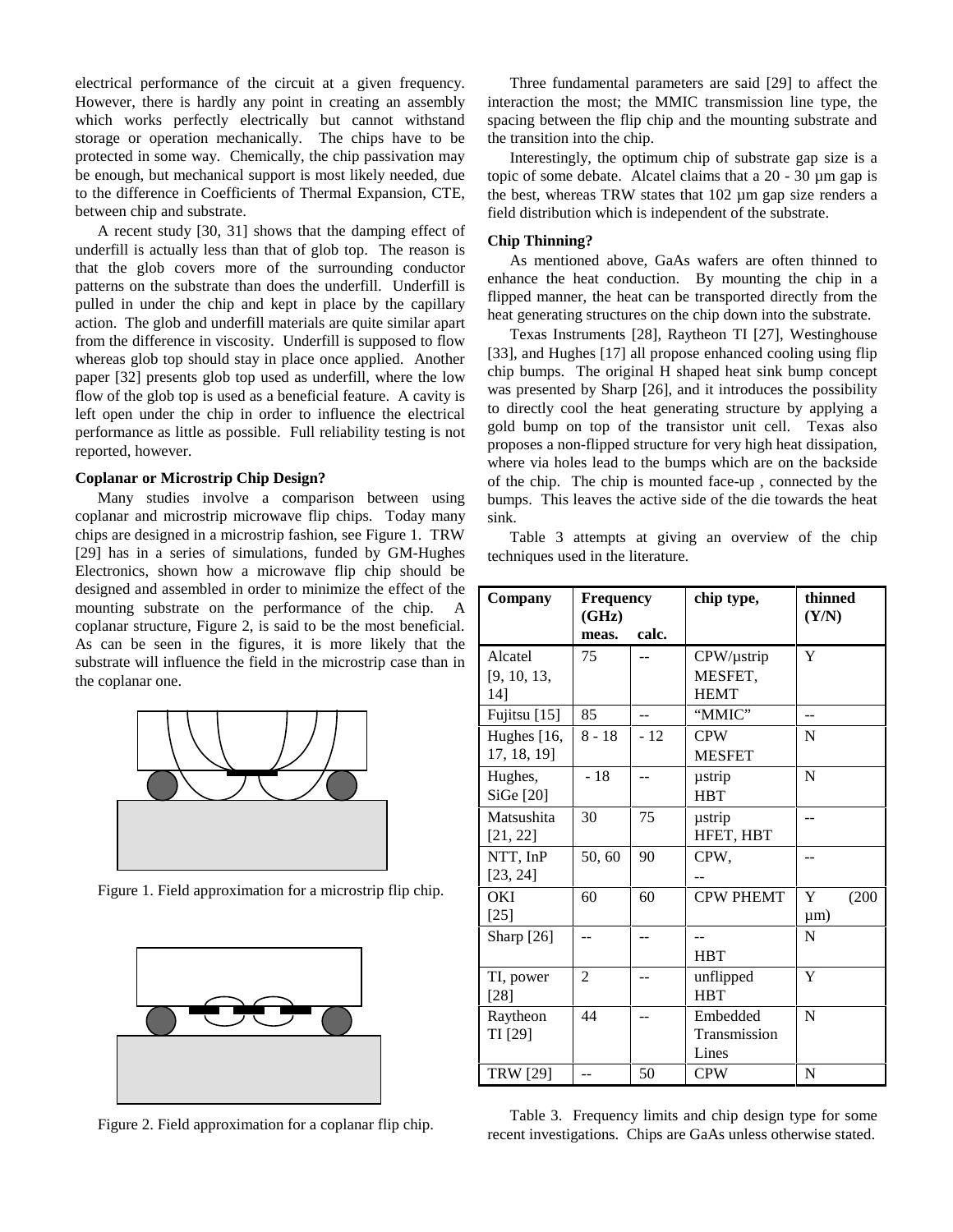electrical performance of the circuit at a given frequency. However, there is hardly any point in creating an assembly which works perfectly electrically but cannot withstand storage or operation mechanically. The chips have to be protected in some way. Chemically, the chip passivation may be enough, but mechanical support is most likely needed, due to the difference in Coefficients of Thermal Expansion, CTE, between chip and substrate.

A recent study [30, 31] shows that the damping effect of underfill is actually less than that of glob top. The reason is that the glob covers more of the surrounding conductor patterns on the substrate than does the underfill. Underfill is pulled in under the chip and kept in place by the capillary action. The glob and underfill materials are quite similar apart from the difference in viscosity. Underfill is supposed to flow whereas glob top should stay in place once applied. Another paper [32] presents glob top used as underfill, where the low flow of the glob top is used as a beneficial feature. A cavity is left open under the chip in order to influence the electrical performance as little as possible. Full reliability testing is not reported, however.

## **Coplanar or Microstrip Chip Design?**

Many studies involve a comparison between using coplanar and microstrip microwave flip chips. Today many chips are designed in a microstrip fashion, see Figure 1. TRW [29] has in a series of simulations, funded by GM-Hughes Electronics, shown how a microwave flip chip should be designed and assembled in order to minimize the effect of the mounting substrate on the performance of the chip. A coplanar structure, Figure 2, is said to be the most beneficial. As can be seen in the figures, it is more likely that the substrate will influence the field in the microstrip case than in the coplanar one.



Figure 1. Field approximation for a microstrip flip chip.



Figure 2. Field approximation for a coplanar flip chip.

Three fundamental parameters are said [29] to affect the interaction the most; the MMIC transmission line type, the spacing between the flip chip and the mounting substrate and the transition into the chip.

Interestingly, the optimum chip of substrate gap size is a topic of some debate. Alcatel claims that a 20 - 30 µm gap is the best, whereas TRW states that 102 µm gap size renders a field distribution which is independent of the substrate.

#### **Chip Thinning?**

As mentioned above, GaAs wafers are often thinned to enhance the heat conduction. By mounting the chip in a flipped manner, the heat can be transported directly from the heat generating structures on the chip down into the substrate.

Texas Instruments [28], Raytheon TI [27], Westinghouse [33], and Hughes [17] all propose enhanced cooling using flip chip bumps. The original H shaped heat sink bump concept was presented by Sharp [26], and it introduces the possibility to directly cool the heat generating structure by applying a gold bump on top of the transistor unit cell. Texas also proposes a non-flipped structure for very high heat dissipation, where via holes lead to the bumps which are on the backside of the chip. The chip is mounted face-up , connected by the bumps. This leaves the active side of the die towards the heat sink.

Table 3 attempts at giving an overview of the chip techniques used in the literature.

| Company                       | <b>Frequency</b><br>(GHz) |       | chip type,                                | thinned<br>(Y/N)       |
|-------------------------------|---------------------------|-------|-------------------------------------------|------------------------|
|                               | meas.                     | calc. |                                           |                        |
| Alcatel<br>[9, 10, 13,<br>14] | 75                        |       | $CPW/\mu$ strip<br>MESFET,<br><b>HEMT</b> | Y                      |
| Fujitsu [15]                  | 85                        |       | "MMIC"                                    |                        |
| Hughes [16,<br>17, 18, 19]    | $8 - 18$                  | $-12$ | <b>CPW</b><br><b>MESFET</b>               | $\mathbf N$            |
| Hughes,<br>SiGe [20]          | $-18$                     |       | ustrip<br><b>HBT</b>                      | N                      |
| Matsushita<br>[21, 22]        | 30                        | 75    | ustrip<br>HFET, HBT                       |                        |
| NTT, InP<br>[23, 24]          | 50,60                     | 90    | CPW,                                      |                        |
| OKI<br>$[25]$                 | 60                        | 60    | <b>CPW PHEMT</b>                          | Y<br>(200)<br>$\mu$ m) |
| Sharp $[26]$                  |                           |       | $-$<br><b>HBT</b>                         | N                      |
| TI, power<br>$[28]$           | $\overline{2}$            |       | unflipped<br><b>HBT</b>                   | Y                      |
| Raytheon<br>TI [29]           | 44                        |       | Embedded<br>Transmission<br>Lines         | N                      |
| <b>TRW</b> [29]               |                           | 50    | <b>CPW</b>                                | N                      |

Table 3. Frequency limits and chip design type for some recent investigations. Chips are GaAs unless otherwise stated.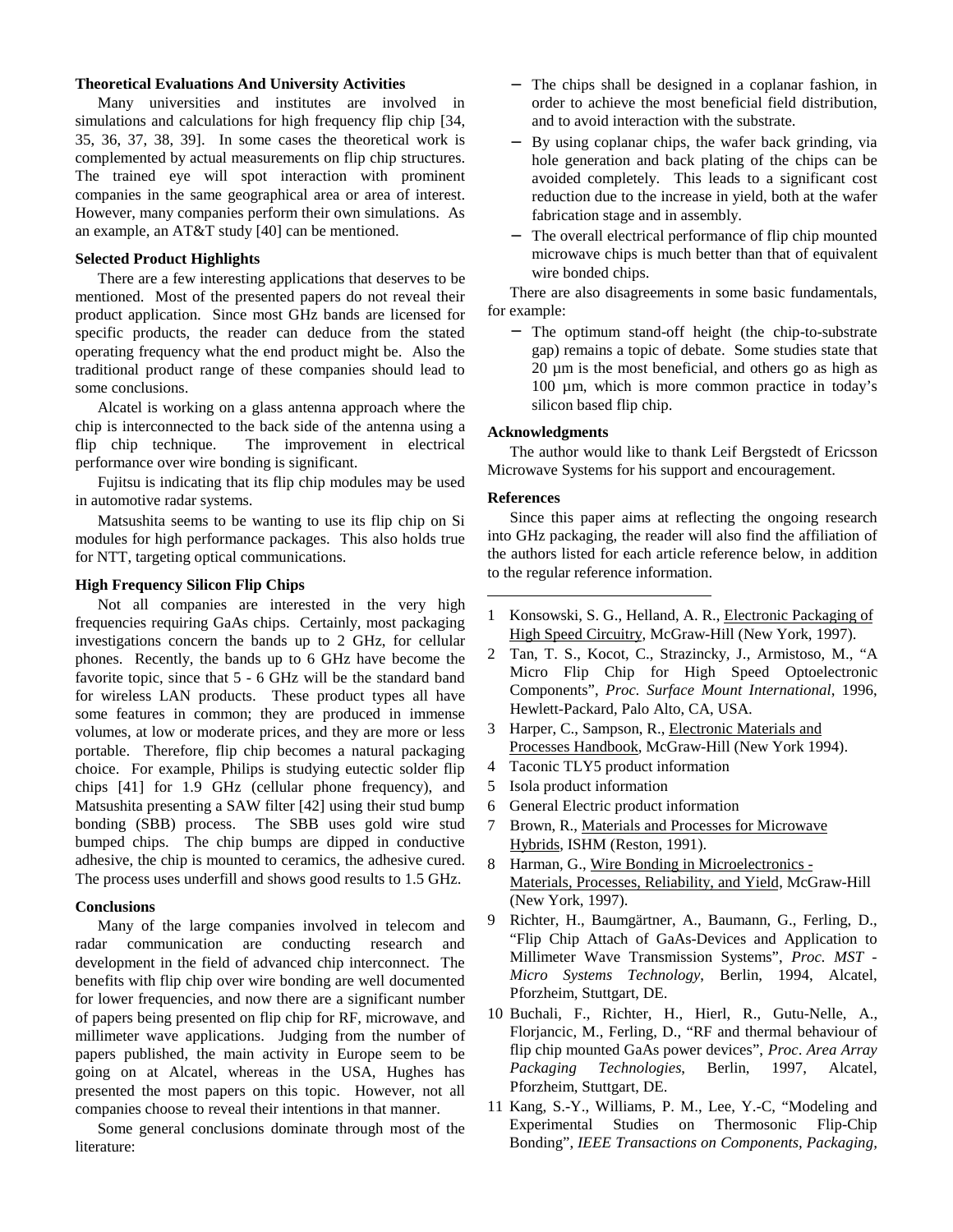### **Theoretical Evaluations And University Activities**

Many universities and institutes are involved in simulations and calculations for high frequency flip chip [34, 35, 36, 37, 38, 39]. In some cases the theoretical work is complemented by actual measurements on flip chip structures. The trained eye will spot interaction with prominent companies in the same geographical area or area of interest. However, many companies perform their own simulations. As an example, an AT&T study [40] can be mentioned.

## **Selected Product Highlights**

There are a few interesting applications that deserves to be mentioned. Most of the presented papers do not reveal their product application. Since most GHz bands are licensed for specific products, the reader can deduce from the stated operating frequency what the end product might be. Also the traditional product range of these companies should lead to some conclusions.

Alcatel is working on a glass antenna approach where the chip is interconnected to the back side of the antenna using a flip chip technique. The improvement in electrical performance over wire bonding is significant.

Fujitsu is indicating that its flip chip modules may be used in automotive radar systems.

Matsushita seems to be wanting to use its flip chip on Si modules for high performance packages. This also holds true for NTT, targeting optical communications.

## **High Frequency Silicon Flip Chips**

Not all companies are interested in the very high frequencies requiring GaAs chips. Certainly, most packaging investigations concern the bands up to 2 GHz, for cellular phones. Recently, the bands up to 6 GHz have become the favorite topic, since that 5 - 6 GHz will be the standard band for wireless LAN products. These product types all have some features in common; they are produced in immense volumes, at low or moderate prices, and they are more or less portable. Therefore, flip chip becomes a natural packaging choice. For example, Philips is studying eutectic solder flip chips [41] for 1.9 GHz (cellular phone frequency), and Matsushita presenting a SAW filter [42] using their stud bump bonding (SBB) process. The SBB uses gold wire stud bumped chips. The chip bumps are dipped in conductive adhesive, the chip is mounted to ceramics, the adhesive cured. The process uses underfill and shows good results to 1.5 GHz.

#### **Conclusions**

Many of the large companies involved in telecom and radar communication are conducting research and development in the field of advanced chip interconnect. The benefits with flip chip over wire bonding are well documented for lower frequencies, and now there are a significant number of papers being presented on flip chip for RF, microwave, and millimeter wave applications. Judging from the number of papers published, the main activity in Europe seem to be going on at Alcatel, whereas in the USA, Hughes has presented the most papers on this topic. However, not all companies choose to reveal their intentions in that manner.

Some general conclusions dominate through most of the literature:

- − The chips shall be designed in a coplanar fashion, in order to achieve the most beneficial field distribution, and to avoid interaction with the substrate.
- − By using coplanar chips, the wafer back grinding, via hole generation and back plating of the chips can be avoided completely. This leads to a significant cost reduction due to the increase in yield, both at the wafer fabrication stage and in assembly.
- The overall electrical performance of flip chip mounted microwave chips is much better than that of equivalent wire bonded chips.

There are also disagreements in some basic fundamentals, for example:

− The optimum stand-off height (the chip-to-substrate gap) remains a topic of debate. Some studies state that 20 µm is the most beneficial, and others go as high as 100 µm, which is more common practice in today's silicon based flip chip.

## **Acknowledgments**

The author would like to thank Leif Bergstedt of Ericsson Microwave Systems for his support and encouragement.

#### **References**

 $\overline{a}$ 

Since this paper aims at reflecting the ongoing research into GHz packaging, the reader will also find the affiliation of the authors listed for each article reference below, in addition to the regular reference information.

- 1 Konsowski, S. G., Helland, A. R., Electronic Packaging of High Speed Circuitry, McGraw-Hill (New York, 1997).
- 2 Tan, T. S., Kocot, C., Strazincky, J., Armistoso, M., "A Micro Flip Chip for High Speed Optoelectronic Components", *Proc. Surface Mount International*, 1996, Hewlett-Packard, Palo Alto, CA, USA.
- 3 Harper, C., Sampson, R., Electronic Materials and Processes Handbook, McGraw-Hill (New York 1994).
- 4 Taconic TLY5 product information
- 5 Isola product information
- 6 General Electric product information
- 7 Brown, R., Materials and Processes for Microwave Hybrids, ISHM (Reston, 1991).
- 8 Harman, G., Wire Bonding in Microelectronics Materials, Processes, Reliability, and Yield, McGraw-Hill (New York, 1997).
- 9 Richter, H., Baumgärtner, A., Baumann, G., Ferling, D., "Flip Chip Attach of GaAs-Devices and Application to Millimeter Wave Transmission Systems", *Proc. MST - Micro Systems Technology*, Berlin, 1994, Alcatel, Pforzheim, Stuttgart, DE.
- 10 Buchali, F., Richter, H., Hierl, R., Gutu-Nelle, A., Florjancic, M., Ferling, D., "RF and thermal behaviour of flip chip mounted GaAs power devices", *Proc*. *Area Array Packaging Technologies*, Berlin, 1997, Alcatel, Pforzheim, Stuttgart, DE.
- 11 Kang, S.-Y., Williams, P. M., Lee, Y.-C, "Modeling and Experimental Studies on Thermosonic Flip-Chip Bonding", *IEEE Transactions on Components, Packaging,*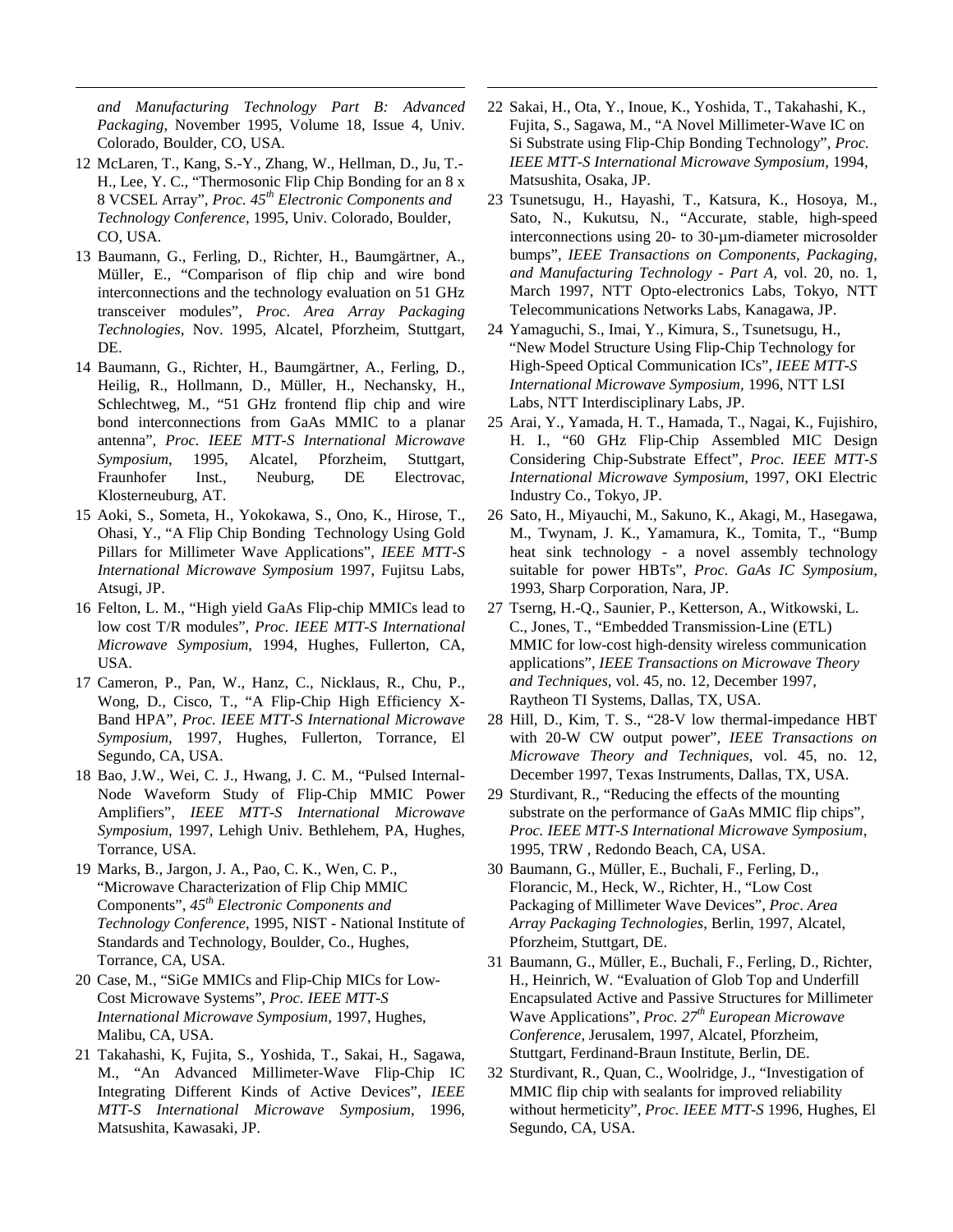*and Manufacturing Technology Part B: Advanced Packaging*, November 1995, Volume 18, Issue 4, Univ. Colorado, Boulder, CO, USA.

<u>.</u>

- 12 McLaren, T., Kang, S.-Y., Zhang, W., Hellman, D., Ju, T.- H., Lee, Y. C., "Thermosonic Flip Chip Bonding for an 8 x 8 VCSEL Array", *Proc. 45th Electronic Components and Technology Conference*, 1995, Univ. Colorado, Boulder, CO, USA.
- 13 Baumann, G., Ferling, D., Richter, H., Baumgärtner, A., Müller, E., "Comparison of flip chip and wire bond interconnections and the technology evaluation on 51 GHz transceiver modules", *Proc*. *Area Array Packaging Technologies*, Nov. 1995, Alcatel, Pforzheim, Stuttgart, DE.
- 14 Baumann, G., Richter, H., Baumgärtner, A., Ferling, D., Heilig, R., Hollmann, D., Müller, H., Nechansky, H., Schlechtweg, M., "51 GHz frontend flip chip and wire bond interconnections from GaAs MMIC to a planar antenna", *Proc. IEEE MTT-S International Microwave Symposium*, 1995, Alcatel, Pforzheim, Stuttgart, Fraunhofer Inst., Neuburg, DE Electrovac, Klosterneuburg, AT.
- 15 Aoki, S., Someta, H., Yokokawa, S., Ono, K., Hirose, T., Ohasi, Y., "A Flip Chip Bonding Technology Using Gold Pillars for Millimeter Wave Applications", *IEEE MTT-S International Microwave Symposium* 1997, Fujitsu Labs, Atsugi, JP.
- 16 Felton, L. M., "High yield GaAs Flip-chip MMICs lead to low cost T/R modules", *Proc. IEEE MTT-S International Microwave Symposium*, 1994, Hughes, Fullerton, CA, USA.
- 17 Cameron, P., Pan, W., Hanz, C., Nicklaus, R., Chu, P., Wong, D., Cisco, T., "A Flip-Chip High Efficiency X-Band HPA", *Proc. IEEE MTT-S International Microwave Symposium*, 1997, Hughes, Fullerton, Torrance, El Segundo, CA, USA.
- 18 Bao, J.W., Wei, C. J., Hwang, J. C. M., "Pulsed Internal-Node Waveform Study of Flip-Chip MMIC Power Amplifiers", *IEEE MTT-S International Microwave Symposium,* 1997, Lehigh Univ. Bethlehem, PA, Hughes, Torrance, USA.
- 19 Marks, B., Jargon, J. A., Pao, C. K., Wen, C. P., "Microwave Characterization of Flip Chip MMIC Components", *45th Electronic Components and Technology Conference*, 1995, NIST - National Institute of Standards and Technology, Boulder, Co., Hughes, Torrance, CA, USA.
- 20 Case, M., "SiGe MMICs and Flip-Chip MICs for Low-Cost Microwave Systems", *Proc. IEEE MTT-S International Microwave Symposium,* 1997, Hughes, Malibu, CA, USA.
- 21 Takahashi, K, Fujita, S., Yoshida, T., Sakai, H., Sagawa, M., "An Advanced Millimeter-Wave Flip-Chip IC Integrating Different Kinds of Active Devices", *IEEE MTT-S International Microwave Symposium,* 1996, Matsushita, Kawasaki, JP.

22 Sakai, H., Ota, Y., Inoue, K., Yoshida, T., Takahashi, K., Fujita, S., Sagawa, M., "A Novel Millimeter-Wave IC on Si Substrate using Flip-Chip Bonding Technology", *Proc. IEEE MTT-S International Microwave Symposium*, 1994, Matsushita, Osaka, JP.

 $\overline{a}$ 

- 23 Tsunetsugu, H., Hayashi, T., Katsura, K., Hosoya, M., Sato, N., Kukutsu, N., "Accurate, stable, high-speed interconnections using 20- to 30-µm-diameter microsolder bumps", *IEEE Transactions on Components, Packaging, and Manufacturing Technology - Part A*, vol. 20, no. 1, March 1997, NTT Opto-electronics Labs, Tokyo, NTT Telecommunications Networks Labs, Kanagawa, JP.
- 24 Yamaguchi, S., Imai, Y., Kimura, S., Tsunetsugu, H., "New Model Structure Using Flip-Chip Technology for High-Speed Optical Communication ICs", *IEEE MTT-S International Microwave Symposium,* 1996, NTT LSI Labs, NTT Interdisciplinary Labs, JP.
- 25 Arai, Y., Yamada, H. T., Hamada, T., Nagai, K., Fujishiro, H. I., "60 GHz Flip-Chip Assembled MIC Design Considering Chip-Substrate Effect", *Proc. IEEE MTT-S International Microwave Symposium*, 1997, OKI Electric Industry Co., Tokyo, JP.
- 26 Sato, H., Miyauchi, M., Sakuno, K., Akagi, M., Hasegawa, M., Twynam, J. K., Yamamura, K., Tomita, T., "Bump heat sink technology - a novel assembly technology suitable for power HBTs", *Proc. GaAs IC Symposium,* 1993, Sharp Corporation, Nara, JP.
- 27 Tserng, H.-Q., Saunier, P., Ketterson, A., Witkowski, L. C., Jones, T., "Embedded Transmission-Line (ETL) MMIC for low-cost high-density wireless communication applications", *IEEE Transactions on Microwave Theory and Techniques*, vol. 45, no. 12, December 1997, Raytheon TI Systems, Dallas, TX, USA.
- 28 Hill, D., Kim, T. S., "28-V low thermal-impedance HBT with 20-W CW output power", *IEEE Transactions on Microwave Theory and Techniques*, vol. 45, no. 12, December 1997, Texas Instruments, Dallas, TX, USA.
- 29 Sturdivant, R., "Reducing the effects of the mounting substrate on the performance of GaAs MMIC flip chips", *Proc. IEEE MTT-S International Microwave Symposium*, 1995, TRW , Redondo Beach, CA, USA.
- 30 Baumann, G., Müller, E., Buchali, F., Ferling, D., Florancic, M., Heck, W., Richter, H., "Low Cost Packaging of Millimeter Wave Devices", *Proc*. *Area Array Packaging Technologies*, Berlin, 1997, Alcatel, Pforzheim, Stuttgart, DE.
- 31 Baumann, G., Müller, E., Buchali, F., Ferling, D., Richter, H., Heinrich, W. "Evaluation of Glob Top and Underfill Encapsulated Active and Passive Structures for Millimeter Wave Applications", *Proc. 27th European Microwave Conference,* Jerusalem*,* 1997, Alcatel, Pforzheim, Stuttgart, Ferdinand-Braun Institute, Berlin, DE.
- 32 Sturdivant, R., Quan, C., Woolridge, J., "Investigation of MMIC flip chip with sealants for improved reliability without hermeticity", *Proc. IEEE MTT-S* 1996, Hughes, El Segundo, CA, USA.